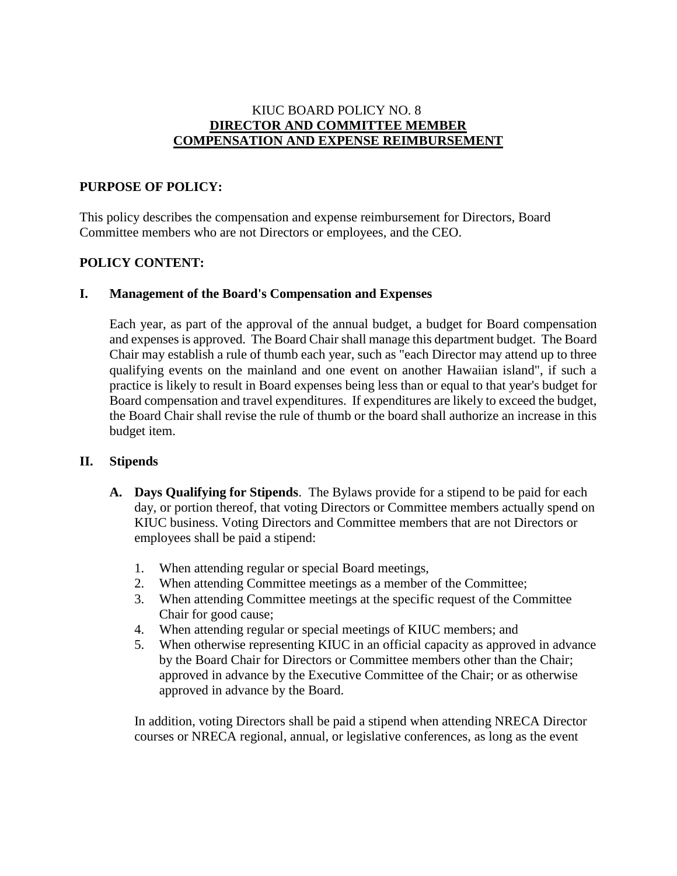### KIUC BOARD POLICY NO. 8 **DIRECTOR AND COMMITTEE MEMBER COMPENSATION AND EXPENSE REIMBURSEMENT**

#### **PURPOSE OF POLICY:**

This policy describes the compensation and expense reimbursement for Directors, Board Committee members who are not Directors or employees, and the CEO.

## **POLICY CONTENT:**

#### **I. Management of the Board's Compensation and Expenses**

Each year, as part of the approval of the annual budget, a budget for Board compensation and expenses is approved. The Board Chair shall manage this department budget. The Board Chair may establish a rule of thumb each year, such as "each Director may attend up to three qualifying events on the mainland and one event on another Hawaiian island", if such a practice is likely to result in Board expenses being less than or equal to that year's budget for Board compensation and travel expenditures. If expenditures are likely to exceed the budget, the Board Chair shall revise the rule of thumb or the board shall authorize an increase in this budget item.

#### **II. Stipends**

- **A. Days Qualifying for Stipends**. The Bylaws provide for a stipend to be paid for each day, or portion thereof, that voting Directors or Committee members actually spend on KIUC business. Voting Directors and Committee members that are not Directors or employees shall be paid a stipend:
	- 1. When attending regular or special Board meetings,
	- 2. When attending Committee meetings as a member of the Committee;
	- 3. When attending Committee meetings at the specific request of the Committee Chair for good cause;
	- 4. When attending regular or special meetings of KIUC members; and
	- 5. When otherwise representing KIUC in an official capacity as approved in advance by the Board Chair for Directors or Committee members other than the Chair; approved in advance by the Executive Committee of the Chair; or as otherwise approved in advance by the Board.

In addition, voting Directors shall be paid a stipend when attending NRECA Director courses or NRECA regional, annual, or legislative conferences, as long as the event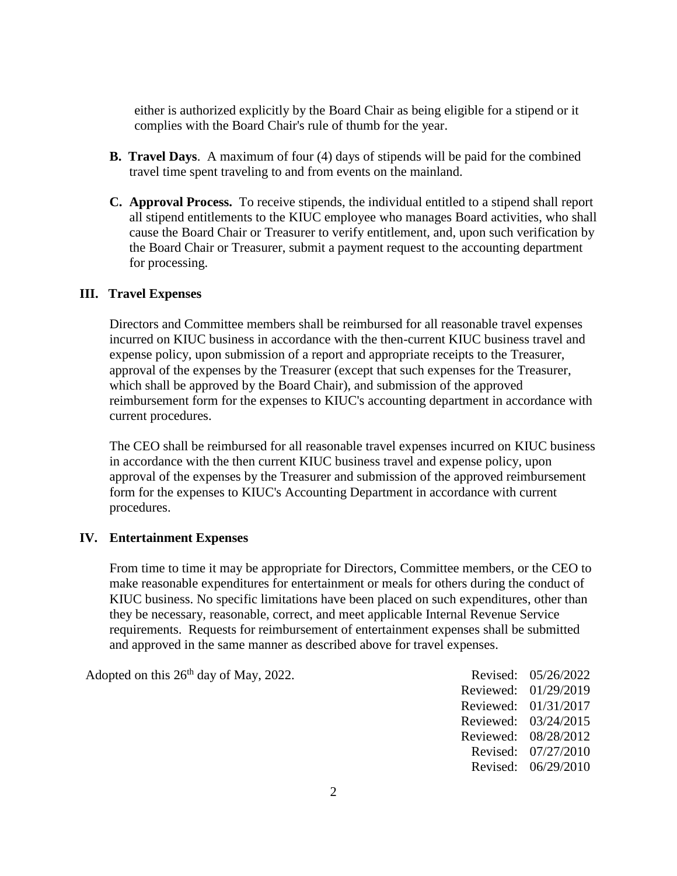either is authorized explicitly by the Board Chair as being eligible for a stipend or it complies with the Board Chair's rule of thumb for the year.

- **B. Travel Days**. A maximum of four (4) days of stipends will be paid for the combined travel time spent traveling to and from events on the mainland.
- **C. Approval Process.** To receive stipends, the individual entitled to a stipend shall report all stipend entitlements to the KIUC employee who manages Board activities, who shall cause the Board Chair or Treasurer to verify entitlement, and, upon such verification by the Board Chair or Treasurer, submit a payment request to the accounting department for processing.

#### **III. Travel Expenses**

Directors and Committee members shall be reimbursed for all reasonable travel expenses incurred on KIUC business in accordance with the then-current KIUC business travel and expense policy, upon submission of a report and appropriate receipts to the Treasurer, approval of the expenses by the Treasurer (except that such expenses for the Treasurer, which shall be approved by the Board Chair), and submission of the approved reimbursement form for the expenses to KIUC's accounting department in accordance with current procedures.

The CEO shall be reimbursed for all reasonable travel expenses incurred on KIUC business in accordance with the then current KIUC business travel and expense policy, upon approval of the expenses by the Treasurer and submission of the approved reimbursement form for the expenses to KIUC's Accounting Department in accordance with current procedures.

#### **IV. Entertainment Expenses**

From time to time it may be appropriate for Directors, Committee members, or the CEO to make reasonable expenditures for entertainment or meals for others during the conduct of KIUC business. No specific limitations have been placed on such expenditures, other than they be necessary, reasonable, correct, and meet applicable Internal Revenue Service requirements. Requests for reimbursement of entertainment expenses shall be submitted and approved in the same manner as described above for travel expenses.

Adopted on this  $26<sup>th</sup>$  day of May, 2022. Revised: 05/26/2022

Reviewed: 01/29/2019 Reviewed: 01/31/2017 Reviewed: 03/24/2015 Reviewed: 08/28/2012 Revised: 07/27/2010 Revised: 06/29/2010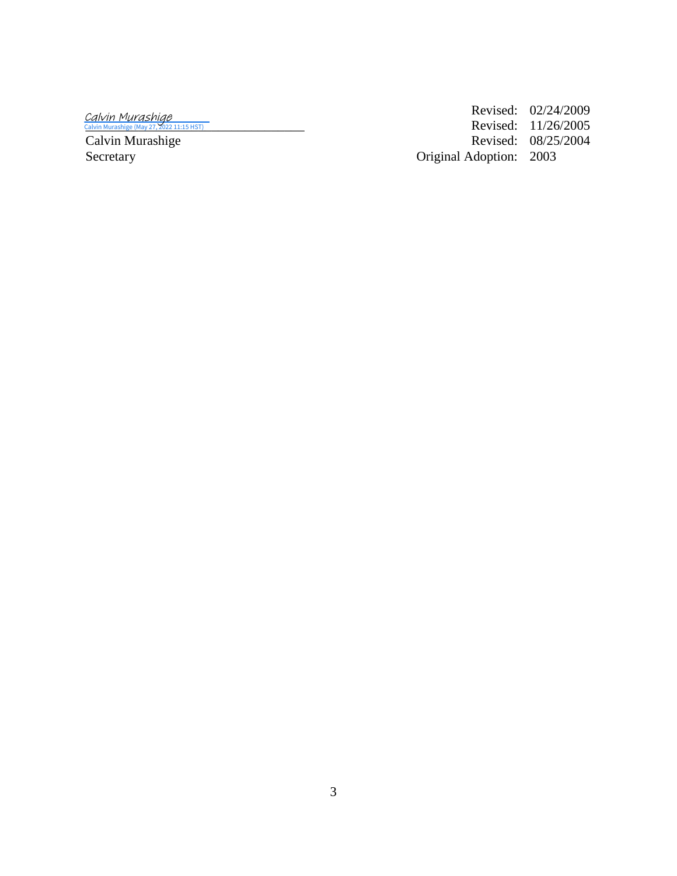Calvin Murashige<br><sup>Calvin Murashige (May 27, 2022 11:15 HST)</sup>

Revised: 02/24/2009 [\\_\\_\\_\\_\\_\\_\\_\\_\\_\\_\\_\\_\\_\\_\\_\\_\\_\\_\\_\\_\\_\\_\\_\\_\\_\\_\\_\\_\\_\\_\\_\\_\\_](https://na2.documents.adobe.com/verifier?tx=CBJCHBCAABAAcDcGWKYHGigjRJSfyoQpj2iQ3HUfbCun) Revised: 11/26/2005 Revised: 08/25/2004 Original Adoption: 2003